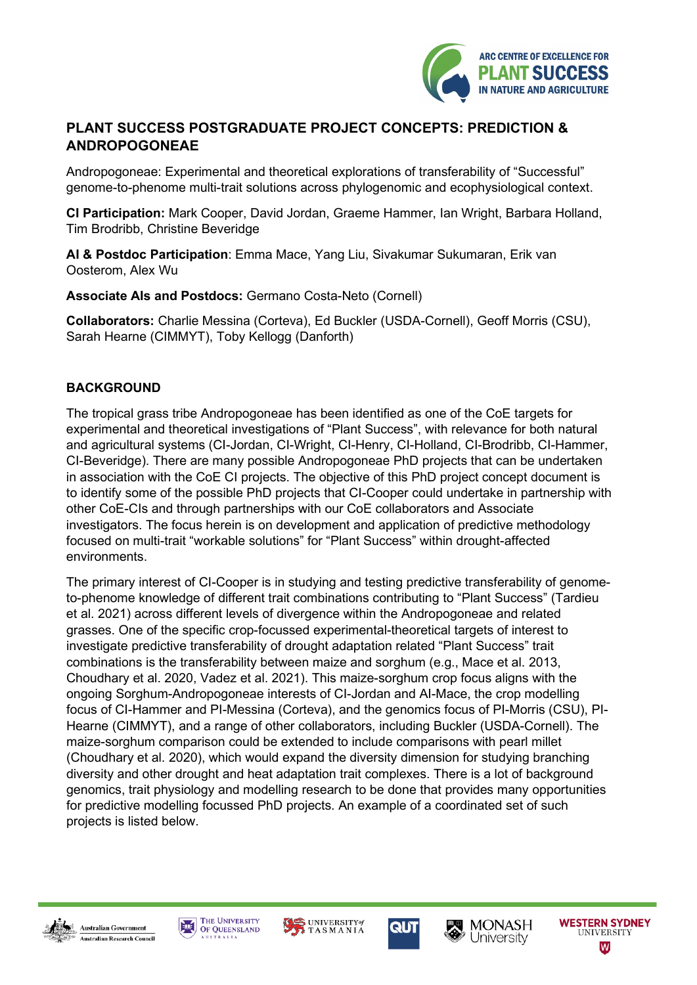

# **PLANT SUCCESS POSTGRADUATE PROJECT CONCEPTS: PREDICTION & ANDROPOGONEAE**

Andropogoneae: Experimental and theoretical explorations of transferability of "Successful" genome-to-phenome multi-trait solutions across phylogenomic and ecophysiological context.

**CI Participation:** Mark Cooper, David Jordan, Graeme Hammer, Ian Wright, Barbara Holland, Tim Brodribb, Christine Beveridge

**AI & Postdoc Participation**: Emma Mace, Yang Liu, Sivakumar Sukumaran, Erik van Oosterom, Alex Wu

**Associate AIs and Postdocs:** Germano Costa-Neto (Cornell)

**Collaborators:** Charlie Messina (Corteva), Ed Buckler (USDA-Cornell), Geoff Morris (CSU), Sarah Hearne (CIMMYT), Toby Kellogg (Danforth)

## **BACKGROUND**

The tropical grass tribe Andropogoneae has been identified as one of the CoE targets for experimental and theoretical investigations of "Plant Success", with relevance for both natural and agricultural systems (CI-Jordan, CI-Wright, CI-Henry, CI-Holland, CI-Brodribb, CI-Hammer, CI-Beveridge). There are many possible Andropogoneae PhD projects that can be undertaken in association with the CoE CI projects. The objective of this PhD project concept document is to identify some of the possible PhD projects that CI-Cooper could undertake in partnership with other CoE-CIs and through partnerships with our CoE collaborators and Associate investigators. The focus herein is on development and application of predictive methodology focused on multi-trait "workable solutions" for "Plant Success" within drought-affected environments.

The primary interest of CI-Cooper is in studying and testing predictive transferability of genometo-phenome knowledge of different trait combinations contributing to "Plant Success" (Tardieu et al. 2021) across different levels of divergence within the Andropogoneae and related grasses. One of the specific crop-focussed experimental-theoretical targets of interest to investigate predictive transferability of drought adaptation related "Plant Success" trait combinations is the transferability between maize and sorghum (e.g., Mace et al. 2013, Choudhary et al. 2020, Vadez et al. 2021). This maize-sorghum crop focus aligns with the ongoing Sorghum-Andropogoneae interests of CI-Jordan and AI-Mace, the crop modelling focus of CI-Hammer and PI-Messina (Corteva), and the genomics focus of PI-Morris (CSU), PI-Hearne (CIMMYT), and a range of other collaborators, including Buckler (USDA-Cornell). The maize-sorghum comparison could be extended to include comparisons with pearl millet (Choudhary et al. 2020), which would expand the diversity dimension for studying branching diversity and other drought and heat adaptation trait complexes. There is a lot of background genomics, trait physiology and modelling research to be done that provides many opportunities for predictive modelling focussed PhD projects. An example of a coordinated set of such projects is listed below.













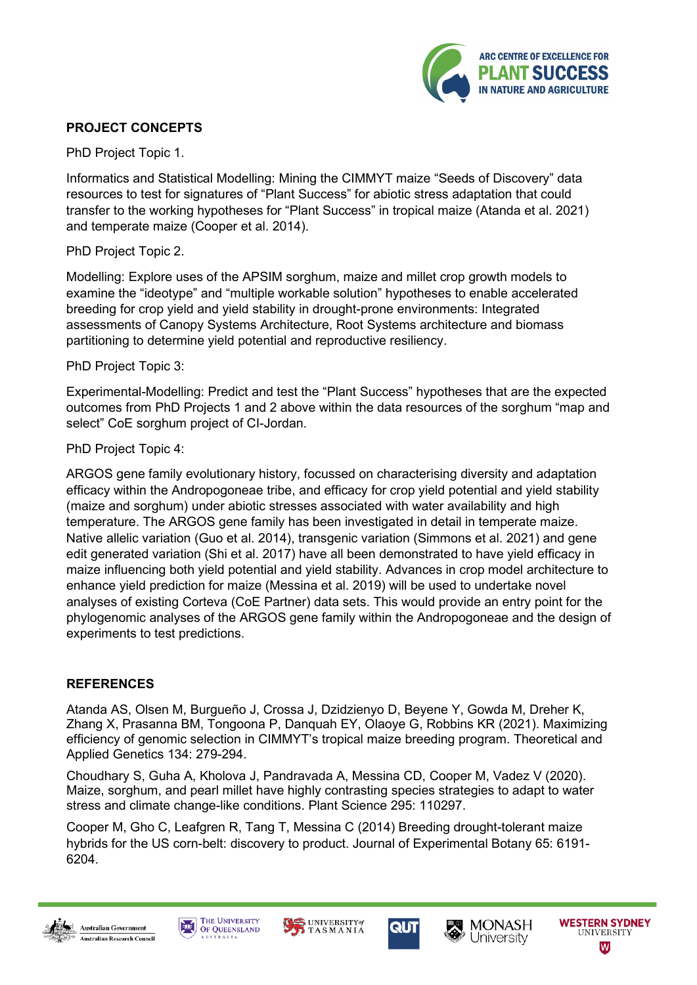

## **PROJECT CONCEPTS**

PhD Project Topic 1.

Informatics and Statistical Modelling: Mining the CIMMYT maize "Seeds of Discovery" data resources to test for signatures of "Plant Success" for abiotic stress adaptation that could transfer to the working hypotheses for "Plant Success" in tropical maize (Atanda et al. 2021) and temperate maize (Cooper et al. 2014).

#### PhD Project Topic 2.

Modelling: Explore uses of the APSIM sorghum, maize and millet crop growth models to examine the "ideotype" and "multiple workable solution" hypotheses to enable accelerated breeding for crop yield and yield stability in drought-prone environments: Integrated assessments of Canopy Systems Architecture, Root Systems architecture and biomass partitioning to determine yield potential and reproductive resiliency.

#### PhD Project Topic 3:

Experimental-Modelling: Predict and test the "Plant Success" hypotheses that are the expected outcomes from PhD Projects 1 and 2 above within the data resources of the sorghum "map and select" CoE sorghum project of CI-Jordan.

#### PhD Project Topic 4:

ARGOS gene family evolutionary history, focussed on characterising diversity and adaptation efficacy within the Andropogoneae tribe, and efficacy for crop yield potential and yield stability (maize and sorghum) under abiotic stresses associated with water availability and high temperature. The ARGOS gene family has been investigated in detail in temperate maize. Native allelic variation (Guo et al. 2014), transgenic variation (Simmons et al. 2021) and gene edit generated variation (Shi et al. 2017) have all been demonstrated to have yield efficacy in maize influencing both yield potential and yield stability. Advances in crop model architecture to enhance yield prediction for maize (Messina et al. 2019) will be used to undertake novel analyses of existing Corteva (CoE Partner) data sets. This would provide an entry point for the phylogenomic analyses of the ARGOS gene family within the Andropogoneae and the design of experiments to test predictions.

## **REFERENCES**

Atanda AS, Olsen M, Burgueño J, Crossa J, Dzidzienyo D, Beyene Y, Gowda M, Dreher K, Zhang X, Prasanna BM, Tongoona P, Danquah EY, Olaoye G, Robbins KR (2021). Maximizing efficiency of genomic selection in CIMMYT's tropical maize breeding program. Theoretical and Applied Genetics 134: 279-294.

Choudhary S, Guha A, Kholova J, Pandravada A, Messina CD, Cooper M, Vadez V (2020). Maize, sorghum, and pearl millet have highly contrasting species strategies to adapt to water stress and climate change-like conditions. Plant Science 295: 110297.

Cooper M, Gho C, Leafgren R, Tang T, Messina C (2014) Breeding drought-tolerant maize hybrids for the US corn-belt: discovery to product. Journal of Experimental Botany 65: 6191- 6204.